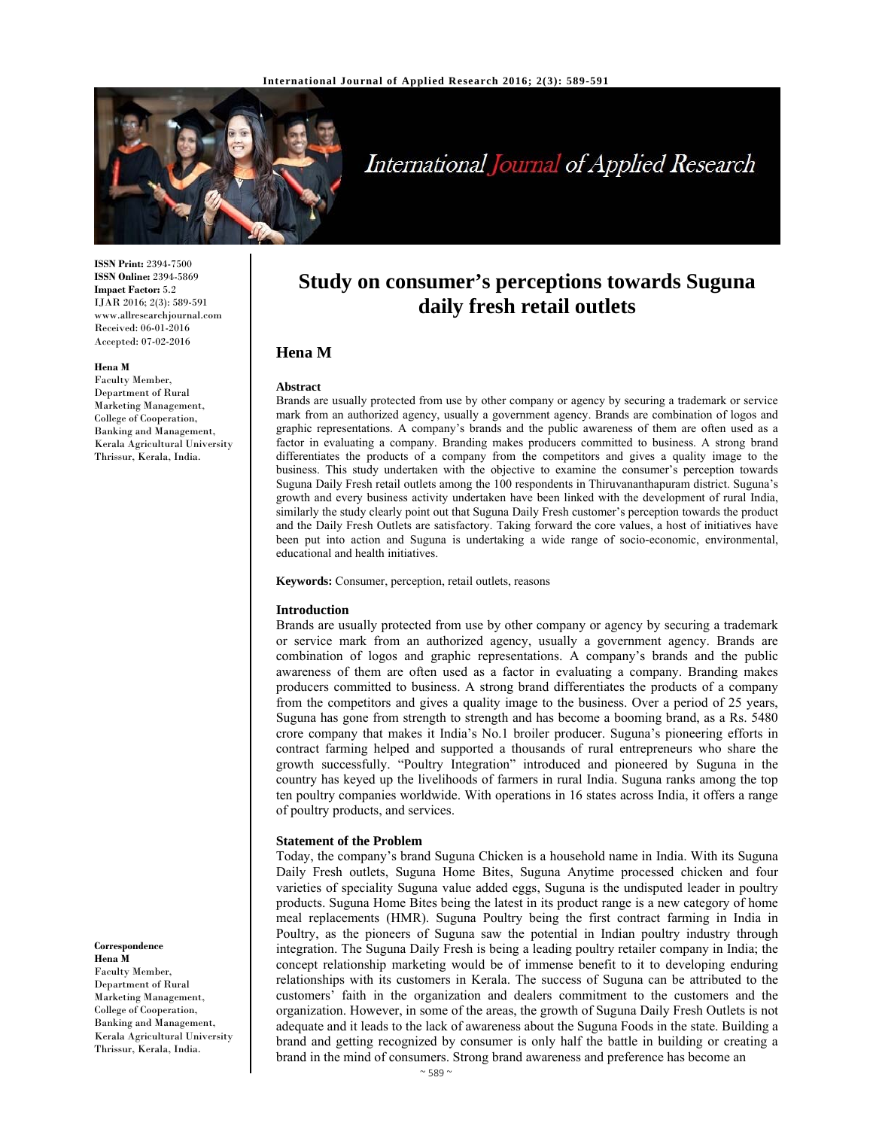

# International Journal of Applied Research

**ISSN Print:** 2394-7500 **ISSN Online:** 2394-5869 **Impact Factor:** 5.2 IJAR 2016; 2(3): 589-591 www.allresearchjournal.com Received: 06-01-2016 Accepted: 07-02-2016

#### **Hena M**

Faculty Member, Department of Rural Marketing Management, College of Cooperation, Banking and Management, Kerala Agricultural University Thrissur, Kerala, India.

**Correspondence Hena M**  Faculty Member, Department of Rural Marketing Management, College of Cooperation, Banking and Management, Kerala Agricultural University Thrissur, Kerala, India.

# **Study on consumer's perceptions towards Suguna daily fresh retail outlets**

# **Hena M**

#### **Abstract**

Brands are usually protected from use by other company or agency by securing a trademark or service mark from an authorized agency, usually a government agency. Brands are combination of logos and graphic representations. A company's brands and the public awareness of them are often used as a factor in evaluating a company. Branding makes producers committed to business. A strong brand differentiates the products of a company from the competitors and gives a quality image to the business. This study undertaken with the objective to examine the consumer's perception towards Suguna Daily Fresh retail outlets among the 100 respondents in Thiruvananthapuram district. Suguna's growth and every business activity undertaken have been linked with the development of rural India, similarly the study clearly point out that Suguna Daily Fresh customer's perception towards the product and the Daily Fresh Outlets are satisfactory. Taking forward the core values, a host of initiatives have been put into action and Suguna is undertaking a wide range of socio-economic, environmental, educational and health initiatives.

#### **Keywords:** Consumer, perception, retail outlets, reasons

#### **Introduction**

Brands are usually protected from use by other company or agency by securing a trademark or service mark from an authorized agency, usually a government agency. Brands are combination of logos and graphic representations. A company's brands and the public awareness of them are often used as a factor in evaluating a company. Branding makes producers committed to business. A strong brand differentiates the products of a company from the competitors and gives a quality image to the business. Over a period of 25 years, Suguna has gone from strength to strength and has become a booming brand, as a Rs. 5480 crore company that makes it India's No.1 broiler producer. Suguna's pioneering efforts in contract farming helped and supported a thousands of rural entrepreneurs who share the growth successfully. "Poultry Integration" introduced and pioneered by Suguna in the country has keyed up the livelihoods of farmers in rural India. Suguna ranks among the top ten poultry companies worldwide. With operations in 16 states across India, it offers a range of poultry products, and services.

#### **Statement of the Problem**

Today, the company's brand Suguna Chicken is a household name in India. With its Suguna Daily Fresh outlets, Suguna Home Bites, Suguna Anytime processed chicken and four varieties of speciality Suguna value added eggs, Suguna is the undisputed leader in poultry products. Suguna Home Bites being the latest in its product range is a new category of home meal replacements (HMR). Suguna Poultry being the first contract farming in India in Poultry, as the pioneers of Suguna saw the potential in Indian poultry industry through integration. The Suguna Daily Fresh is being a leading poultry retailer company in India; the concept relationship marketing would be of immense benefit to it to developing enduring relationships with its customers in Kerala. The success of Suguna can be attributed to the customers' faith in the organization and dealers commitment to the customers and the organization. However, in some of the areas, the growth of Suguna Daily Fresh Outlets is not adequate and it leads to the lack of awareness about the Suguna Foods in the state. Building a brand and getting recognized by consumer is only half the battle in building or creating a brand in the mind of consumers. Strong brand awareness and preference has become an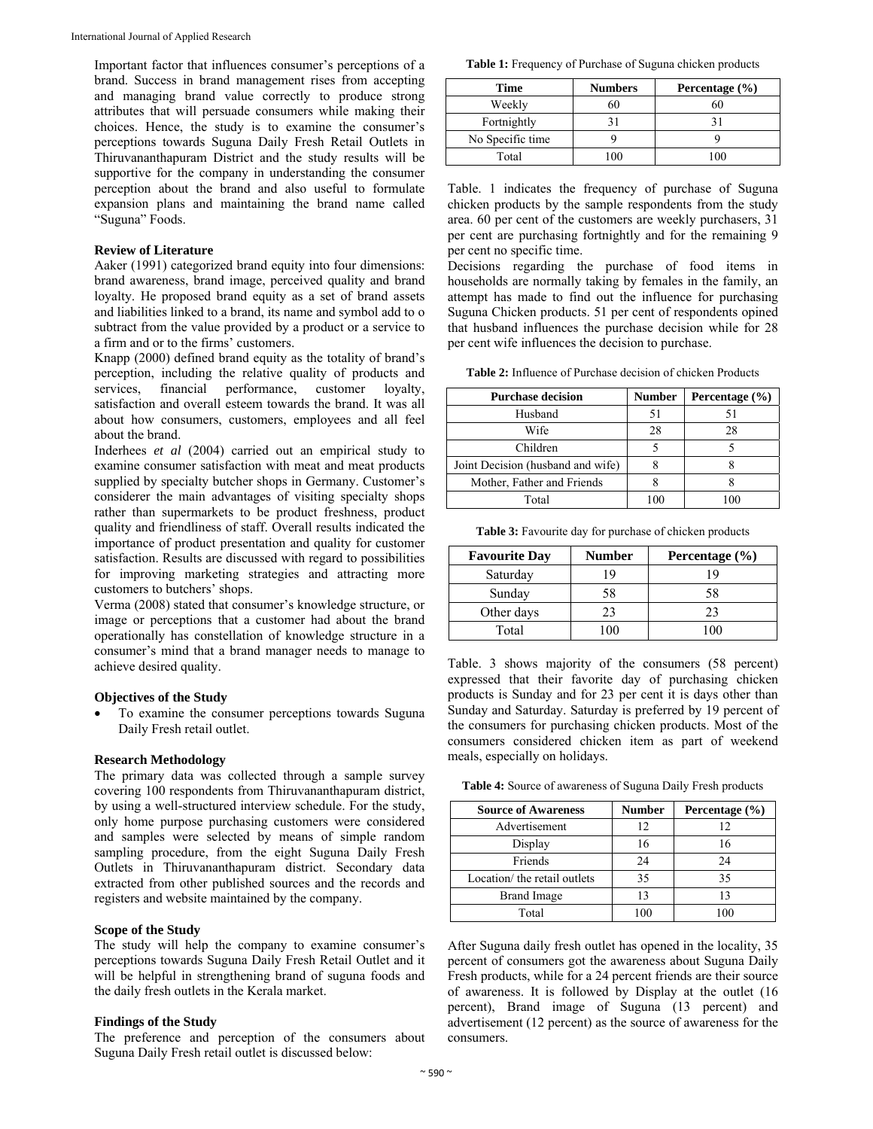Important factor that influences consumer's perceptions of a brand. Success in brand management rises from accepting and managing brand value correctly to produce strong attributes that will persuade consumers while making their choices. Hence, the study is to examine the consumer's perceptions towards Suguna Daily Fresh Retail Outlets in Thiruvananthapuram District and the study results will be supportive for the company in understanding the consumer perception about the brand and also useful to formulate expansion plans and maintaining the brand name called "Suguna" Foods.

#### **Review of Literature**

Aaker (1991) categorized brand equity into four dimensions: brand awareness, brand image, perceived quality and brand loyalty. He proposed brand equity as a set of brand assets and liabilities linked to a brand, its name and symbol add to o subtract from the value provided by a product or a service to a firm and or to the firms' customers.

Knapp (2000) defined brand equity as the totality of brand's perception, including the relative quality of products and services, financial performance, customer loyalty, satisfaction and overall esteem towards the brand. It was all about how consumers, customers, employees and all feel about the brand.

Inderhees *et al* (2004) carried out an empirical study to examine consumer satisfaction with meat and meat products supplied by specialty butcher shops in Germany. Customer's considerer the main advantages of visiting specialty shops rather than supermarkets to be product freshness, product quality and friendliness of staff. Overall results indicated the importance of product presentation and quality for customer satisfaction. Results are discussed with regard to possibilities for improving marketing strategies and attracting more customers to butchers' shops.

Verma (2008) stated that consumer's knowledge structure, or image or perceptions that a customer had about the brand operationally has constellation of knowledge structure in a consumer's mind that a brand manager needs to manage to achieve desired quality.

#### **Objectives of the Study**

 To examine the consumer perceptions towards Suguna Daily Fresh retail outlet.

### **Research Methodology**

The primary data was collected through a sample survey covering 100 respondents from Thiruvananthapuram district, by using a well-structured interview schedule. For the study, only home purpose purchasing customers were considered and samples were selected by means of simple random sampling procedure, from the eight Suguna Daily Fresh Outlets in Thiruvananthapuram district. Secondary data extracted from other published sources and the records and registers and website maintained by the company.

#### **Scope of the Study**

The study will help the company to examine consumer's perceptions towards Suguna Daily Fresh Retail Outlet and it will be helpful in strengthening brand of suguna foods and the daily fresh outlets in the Kerala market.

#### **Findings of the Study**

The preference and perception of the consumers about Suguna Daily Fresh retail outlet is discussed below:

**Table 1:** Frequency of Purchase of Suguna chicken products

| Time             | <b>Numbers</b> | Percentage $(\% )$ |
|------------------|----------------|--------------------|
| Weekly           | 60             | 60                 |
| Fortnightly      |                |                    |
| No Specific time |                |                    |
| Total            |                |                    |

Table. 1 indicates the frequency of purchase of Suguna chicken products by the sample respondents from the study area. 60 per cent of the customers are weekly purchasers, 31 per cent are purchasing fortnightly and for the remaining 9 per cent no specific time.

Decisions regarding the purchase of food items in households are normally taking by females in the family, an attempt has made to find out the influence for purchasing Suguna Chicken products. 51 per cent of respondents opined that husband influences the purchase decision while for 28 per cent wife influences the decision to purchase.

**Table 2:** Influence of Purchase decision of chicken Products

| <b>Purchase decision</b>          | <b>Number</b> | Percentage $(\% )$ |
|-----------------------------------|---------------|--------------------|
| Husband                           | 51            |                    |
| Wife                              | 28            | 28                 |
| Children                          |               |                    |
| Joint Decision (husband and wife) |               |                    |
| Mother, Father and Friends        |               |                    |
| Total                             |               |                    |

**Table 3:** Favourite day for purchase of chicken products

| <b>Favourite Day</b> | <b>Number</b> | Percentage (%) |
|----------------------|---------------|----------------|
| Saturday             | 19            |                |
| Sunday               | 58            | 58             |
| Other days           | 23            | 23             |
| Total                |               | 100            |

Table. 3 shows majority of the consumers (58 percent) expressed that their favorite day of purchasing chicken products is Sunday and for 23 per cent it is days other than Sunday and Saturday. Saturday is preferred by 19 percent of the consumers for purchasing chicken products. Most of the consumers considered chicken item as part of weekend meals, especially on holidays.

**Table 4:** Source of awareness of Suguna Daily Fresh products

| <b>Source of Awareness</b>   | <b>Number</b> | Percentage $(\% )$ |
|------------------------------|---------------|--------------------|
| Advertisement                | 12            | 12                 |
| Display                      | 16            | 16                 |
| Friends                      | 24            | 24                 |
| Location/ the retail outlets | 35            | 35                 |
| <b>Brand Image</b>           | 13            | 13                 |
| Total                        |               |                    |

After Suguna daily fresh outlet has opened in the locality, 35 percent of consumers got the awareness about Suguna Daily Fresh products, while for a 24 percent friends are their source of awareness. It is followed by Display at the outlet (16 percent), Brand image of Suguna (13 percent) and advertisement (12 percent) as the source of awareness for the consumers.